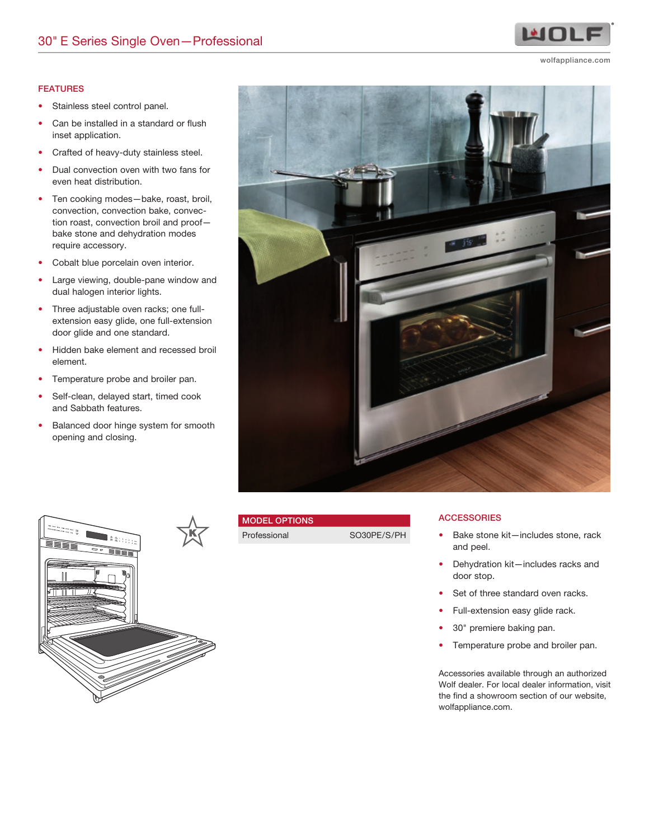#### FEATURES

- Stainless steel control panel.
- Can be installed in a standard or flush inset application.
- Crafted of heavy-duty stainless steel.
- Dual convection oven with two fans for even heat distribution.
- Ten cooking modes—bake, roast, broil, convection, convection bake, convection roast, convection broil and proof bake stone and dehydration modes require accessory.
- Cobalt blue porcelain oven interior.
- Large viewing, double-pane window and dual halogen interior lights.
- Three adjustable oven racks; one fullextension easy glide, one full-extension door glide and one standard.
- Hidden bake element and recessed broil element.
- Temperature probe and broiler pan.
- Self-clean, delayed start, timed cook and Sabbath features.
- Balanced door hinge system for smooth opening and closing.





# MODEL OPTIONS

Professional SO30PE/S/PH

### **ACCESSORIES**

- Bake stone kit—includes stone, rack and peel.
- Dehydration kit—includes racks and door stop.
- Set of three standard oven racks.
- Full-extension easy glide rack.
- 30" premiere baking pan.
- Temperature probe and broiler pan.

Accessories available through an authorized Wolf dealer. For local dealer information, visit the find a showroom section of our website, wolfappliance.com.



wolfappliance.com